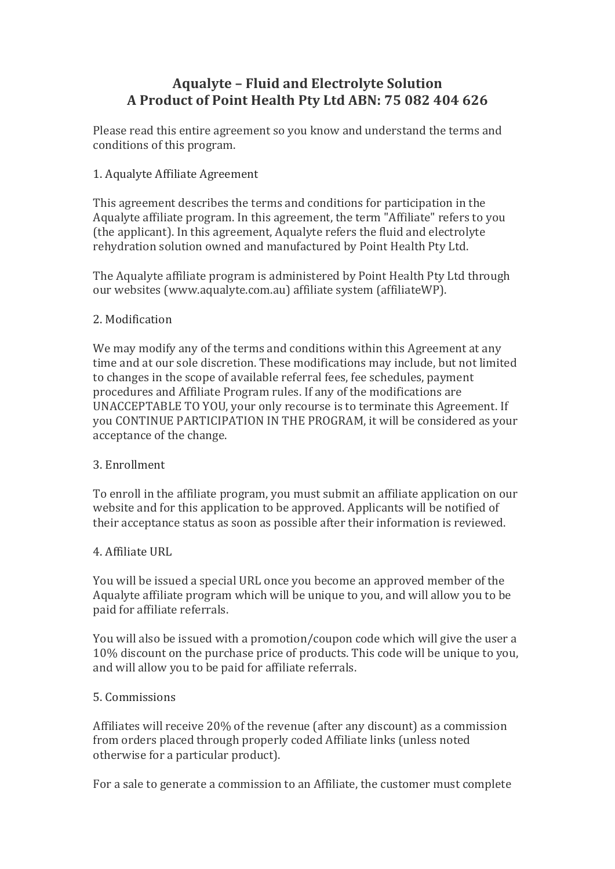# **Aqualyte – Fluid and Electrolyte Solution A Product of Point Health Pty Ltd ABN: 75 082 404 626**

Please read this entire agreement so you know and understand the terms and conditions of this program.

## 1. Aqualyte Affiliate Agreement

This agreement describes the terms and conditions for participation in the Aqualyte affiliate program. In this agreement, the term "Affiliate" refers to you (the applicant). In this agreement, Aqualyte refers the fluid and electrolyte rehydration solution owned and manufactured by Point Health Pty Ltd.

The Aqualyte affiliate program is administered by Point Health Pty Ltd through our websites (www.aqualyte.com.au) affiliate system (affiliateWP).

## 2. Modification

We may modify any of the terms and conditions within this Agreement at any time and at our sole discretion. These modifications may include, but not limited to changes in the scope of available referral fees, fee schedules, payment procedures and Affiliate Program rules. If any of the modifications are UNACCEPTABLE TO YOU, your only recourse is to terminate this Agreement. If you CONTINUE PARTICIPATION IN THE PROGRAM, it will be considered as your acceptance of the change.

## 3. Enrollment

To enroll in the affiliate program, you must submit an affiliate application on our website and for this application to be approved. Applicants will be notified of their acceptance status as soon as possible after their information is reviewed.

## 4. Affiliate URL

You will be issued a special URL once you become an approved member of the Aqualyte affiliate program which will be unique to you, and will allow you to be paid for affiliate referrals.

You will also be issued with a promotion/coupon code which will give the user a 10% discount on the purchase price of products. This code will be unique to you, and will allow you to be paid for affiliate referrals.

## 5. Commissions

Affiliates will receive 20% of the revenue (after any discount) as a commission from orders placed through properly coded Affiliate links (unless noted otherwise for a particular product).

For a sale to generate a commission to an Affiliate, the customer must complete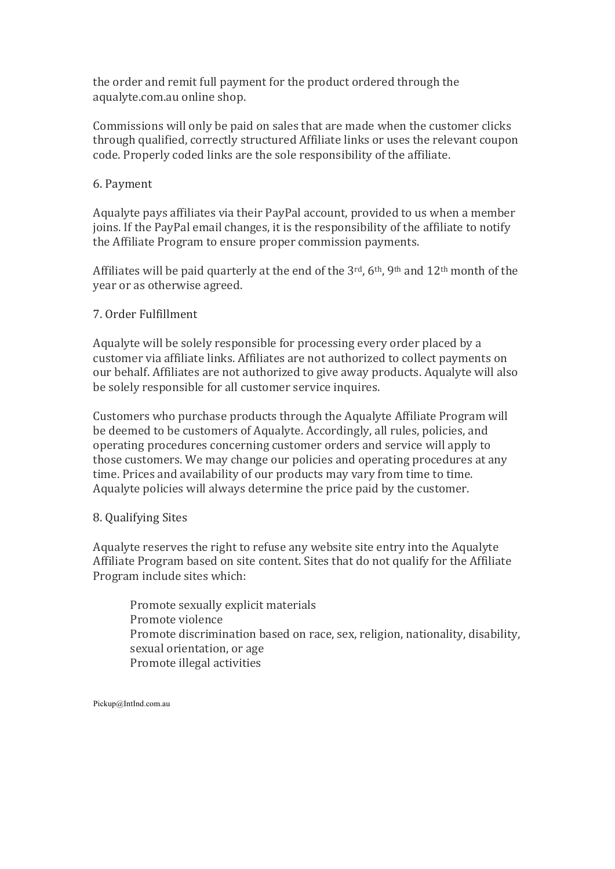the order and remit full payment for the product ordered through the aqualyte.com.au online shop.

Commissions will only be paid on sales that are made when the customer clicks through qualified, correctly structured Affiliate links or uses the relevant coupon code. Properly coded links are the sole responsibility of the affiliate.

## 6. Payment

Aqualyte pays affiliates via their PayPal account, provided to us when a member joins. If the PayPal email changes, it is the responsibility of the affiliate to notify the Affiliate Program to ensure proper commission payments.

Affiliates will be paid quarterly at the end of the  $3<sup>rd</sup>$ , 6<sup>th</sup>, 9<sup>th</sup> and 12<sup>th</sup> month of the year or as otherwise agreed.

## 7. Order Fulfillment

Aqualyte will be solely responsible for processing every order placed by a customer via affiliate links. Affiliates are not authorized to collect payments on our behalf. Affiliates are not authorized to give away products. Aqualyte will also be solely responsible for all customer service inquires.

Customers who purchase products through the Aqualyte Affiliate Program will be deemed to be customers of Aqualyte. Accordingly, all rules, policies, and operating procedures concerning customer orders and service will apply to those customers. We may change our policies and operating procedures at any time. Prices and availability of our products may vary from time to time. Aqualyte policies will always determine the price paid by the customer.

## 8. Qualifying Sites

Aqualyte reserves the right to refuse any website site entry into the Aqualyte Affiliate Program based on site content. Sites that do not qualify for the Affiliate Program include sites which:

Promote sexually explicit materials Promote violence Promote discrimination based on race, sex, religion, nationality, disability, sexual orientation, or age Promote illegal activities

Pickup@IntInd.com.au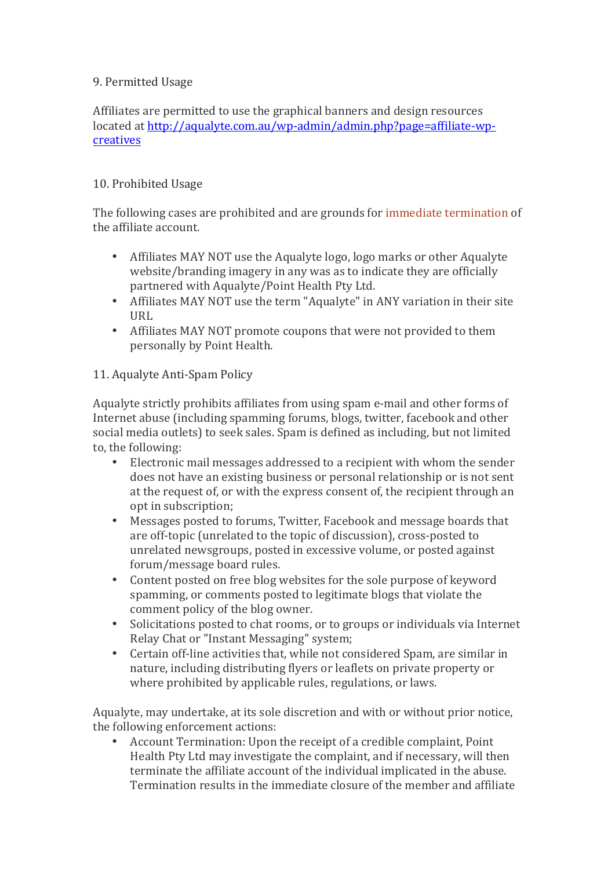## 9. Permitted Usage

Affiliates are permitted to use the graphical banners and design resources located at http://aqualyte.com.au/wp-admin/admin.php?page=affiliate-wpcreatives

## 10. Prohibited Usage

The following cases are prohibited and are grounds for immediate termination of the affiliate account.

- Affiliates MAY NOT use the Aqualyte logo, logo marks or other Aqualyte website/branding imagery in any was as to indicate they are officially partnered with Aqualyte/Point Health Pty Ltd.
- Affiliates MAY NOT use the term "Aqualyte" in ANY variation in their site IIRI.
- Affiliates MAY NOT promote coupons that were not provided to them personally by Point Health.

## 11. Aqualyte Anti-Spam Policy

Aqualyte strictly prohibits affiliates from using spam e-mail and other forms of Internet abuse (including spamming forums, blogs, twitter, facebook and other social media outlets) to seek sales. Spam is defined as including, but not limited to, the following:

- Electronic mail messages addressed to a recipient with whom the sender does not have an existing business or personal relationship or is not sent at the request of, or with the express consent of, the recipient through an opt in subscription;
- Messages posted to forums, Twitter, Facebook and message boards that are off-topic (unrelated to the topic of discussion), cross-posted to unrelated newsgroups, posted in excessive volume, or posted against forum/message board rules.
- Content posted on free blog websites for the sole purpose of keyword spamming, or comments posted to legitimate blogs that violate the comment policy of the blog owner.
- Solicitations posted to chat rooms, or to groups or individuals via Internet Relay Chat or "Instant Messaging" system;
- Certain off-line activities that, while not considered Spam, are similar in nature, including distributing flyers or leaflets on private property or where prohibited by applicable rules, regulations, or laws.

Aqualyte, may undertake, at its sole discretion and with or without prior notice, the following enforcement actions:

Account Termination: Upon the receipt of a credible complaint. Point Health Pty Ltd may investigate the complaint, and if necessary, will then terminate the affiliate account of the individual implicated in the abuse. Termination results in the immediate closure of the member and affiliate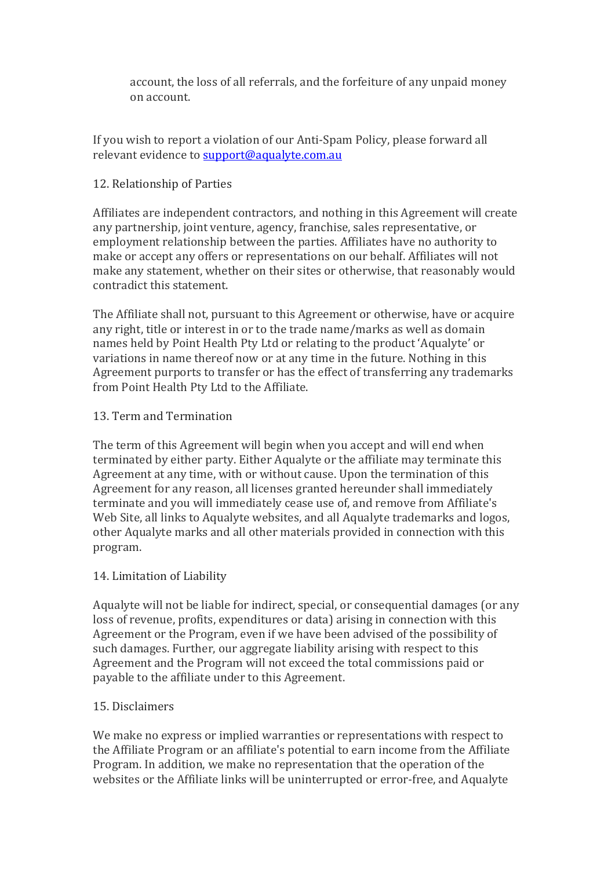account, the loss of all referrals, and the forfeiture of any unpaid money on account. 

If you wish to report a violation of our Anti-Spam Policy, please forward all relevant evidence to support@aqualyte.com.au

## 12. Relationship of Parties

Affiliates are independent contractors, and nothing in this Agreement will create any partnership, joint venture, agency, franchise, sales representative, or employment relationship between the parties. Affiliates have no authority to make or accept any offers or representations on our behalf. Affiliates will not make any statement, whether on their sites or otherwise, that reasonably would contradict this statement.

The Affiliate shall not, pursuant to this Agreement or otherwise, have or acquire any right, title or interest in or to the trade name/marks as well as domain names held by Point Health Pty Ltd or relating to the product 'Aqualyte' or variations in name thereof now or at any time in the future. Nothing in this Agreement purports to transfer or has the effect of transferring any trademarks from Point Health Pty Ltd to the Affiliate.

## 13. Term and Termination

The term of this Agreement will begin when you accept and will end when terminated by either party. Either Aqualyte or the affiliate may terminate this Agreement at any time, with or without cause. Upon the termination of this Agreement for any reason, all licenses granted hereunder shall immediately terminate and you will immediately cease use of, and remove from Affiliate's Web Site, all links to Aqualyte websites, and all Aqualyte trademarks and logos, other Aqualyte marks and all other materials provided in connection with this program.

## 14. Limitation of Liability

Aqualyte will not be liable for indirect, special, or consequential damages (or any loss of revenue, profits, expenditures or data) arising in connection with this Agreement or the Program, even if we have been advised of the possibility of such damages. Further, our aggregate liability arising with respect to this Agreement and the Program will not exceed the total commissions paid or payable to the affiliate under to this Agreement.

## 15. Disclaimers

We make no express or implied warranties or representations with respect to the Affiliate Program or an affiliate's potential to earn income from the Affiliate Program. In addition, we make no representation that the operation of the websites or the Affiliate links will be uninterrupted or error-free, and Aqualyte